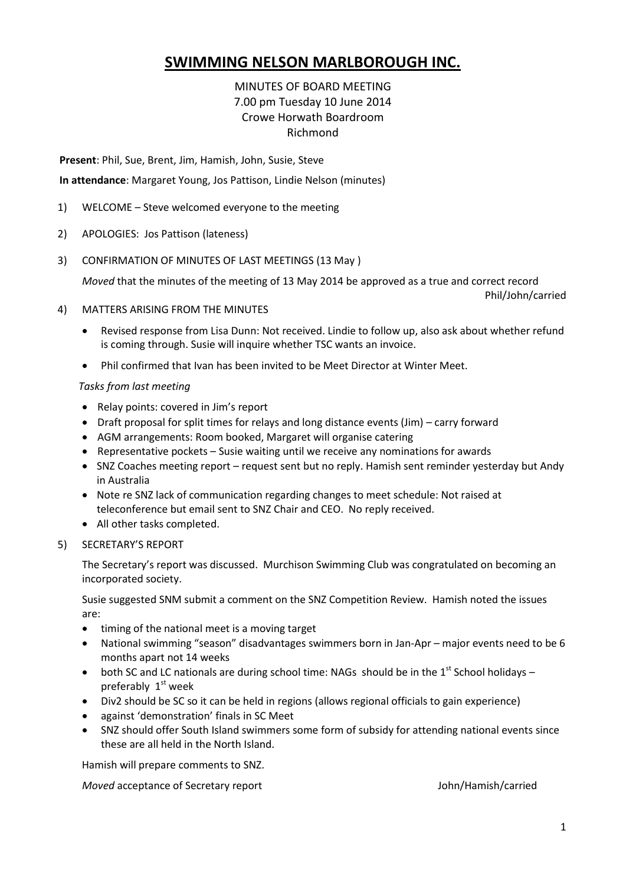## **SWIMMING NELSON MARLBOROUGH INC.**

### MINUTES OF BOARD MEETING 7.00 pm Tuesday 10 June 2014 Crowe Horwath Boardroom Richmond

**Present**: Phil, Sue, Brent, Jim, Hamish, John, Susie, Steve

**In attendance**: Margaret Young, Jos Pattison, Lindie Nelson (minutes)

- 1) WELCOME Steve welcomed everyone to the meeting
- 2) APOLOGIES: Jos Pattison (lateness)
- 3) CONFIRMATION OF MINUTES OF LAST MEETINGS (13 May )

*Moved* that the minutes of the meeting of 13 May 2014 be approved as a true and correct record

Phil/John/carried

- 4) MATTERS ARISING FROM THE MINUTES
	- Revised response from Lisa Dunn: Not received. Lindie to follow up, also ask about whether refund is coming through. Susie will inquire whether TSC wants an invoice.
	- Phil confirmed that Ivan has been invited to be Meet Director at Winter Meet.

#### *Tasks from last meeting*

- Relay points: covered in Jim's report
- Draft proposal for split times for relays and long distance events (Jim) carry forward
- AGM arrangements: Room booked, Margaret will organise catering
- **•** Representative pockets  $-$  Susie waiting until we receive any nominations for awards
- SNZ Coaches meeting report request sent but no reply. Hamish sent reminder yesterday but Andy in Australia
- Note re SNZ lack of communication regarding changes to meet schedule: Not raised at teleconference but email sent to SNZ Chair and CEO. No reply received.
- All other tasks completed.
- 5) SECRETARY'S REPORT

The Secretary's report was discussed. Murchison Swimming Club was congratulated on becoming an incorporated society.

Susie suggested SNM submit a comment on the SNZ Competition Review. Hamish noted the issues are:

- timing of the national meet is a moving target
- National swimming "season" disadvantages swimmers born in Jan-Apr major events need to be 6 months apart not 14 weeks
- both SC and LC nationals are during school time: NAGs should be in the  $1<sup>st</sup>$  School holidays preferably  $1<sup>st</sup>$  week
- Div2 should be SC so it can be held in regions (allows regional officials to gain experience)
- against 'demonstration' finals in SC Meet
- SNZ should offer South Island swimmers some form of subsidy for attending national events since these are all held in the North Island.

Hamish will prepare comments to SNZ.

*Moved* acceptance of Secretary report John/Hamish/carried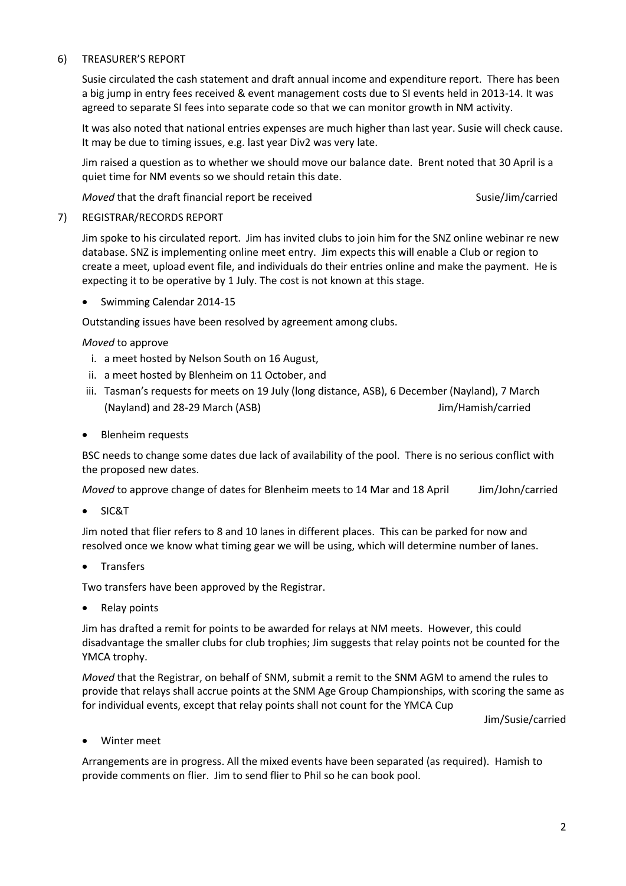### 6) TREASURER'S REPORT

Susie circulated the cash statement and draft annual income and expenditure report. There has been a big jump in entry fees received & event management costs due to SI events held in 2013-14. It was agreed to separate SI fees into separate code so that we can monitor growth in NM activity.

It was also noted that national entries expenses are much higher than last year. Susie will check cause. It may be due to timing issues, e.g. last year Div2 was very late.

Jim raised a question as to whether we should move our balance date. Brent noted that 30 April is a quiet time for NM events so we should retain this date.

*Moved* that the draft financial report be received Susie/Jim/carried Susie/Jim/carried

### 7) REGISTRAR/RECORDS REPORT

Jim spoke to his circulated report. Jim has invited clubs to join him for the SNZ online webinar re new database. SNZ is implementing online meet entry. Jim expects this will enable a Club or region to create a meet, upload event file, and individuals do their entries online and make the payment. He is expecting it to be operative by 1 July. The cost is not known at this stage.

• Swimming Calendar 2014-15

Outstanding issues have been resolved by agreement among clubs.

*Moved* to approve

- i. a meet hosted by Nelson South on 16 August,
- ii. a meet hosted by Blenheim on 11 October, and
- iii. Tasman's requests for meets on 19 July (long distance, ASB), 6 December (Nayland), 7 March (Nayland) and 28-29 March (ASB) Jim/Hamish/carried
- Blenheim requests

BSC needs to change some dates due lack of availability of the pool. There is no serious conflict with the proposed new dates.

*Moved* to approve change of dates for Blenheim meets to 14 Mar and 18 April *Jim/John/carried* 

SIC&T

Jim noted that flier refers to 8 and 10 lanes in different places. This can be parked for now and resolved once we know what timing gear we will be using, which will determine number of lanes.

Transfers

Two transfers have been approved by the Registrar.

• Relay points

Jim has drafted a remit for points to be awarded for relays at NM meets. However, this could disadvantage the smaller clubs for club trophies; Jim suggests that relay points not be counted for the YMCA trophy.

*Moved* that the Registrar, on behalf of SNM, submit a remit to the SNM AGM to amend the rules to provide that relays shall accrue points at the SNM Age Group Championships, with scoring the same as for individual events, except that relay points shall not count for the YMCA Cup

Jim/Susie/carried

Winter meet

Arrangements are in progress. All the mixed events have been separated (as required). Hamish to provide comments on flier. Jim to send flier to Phil so he can book pool.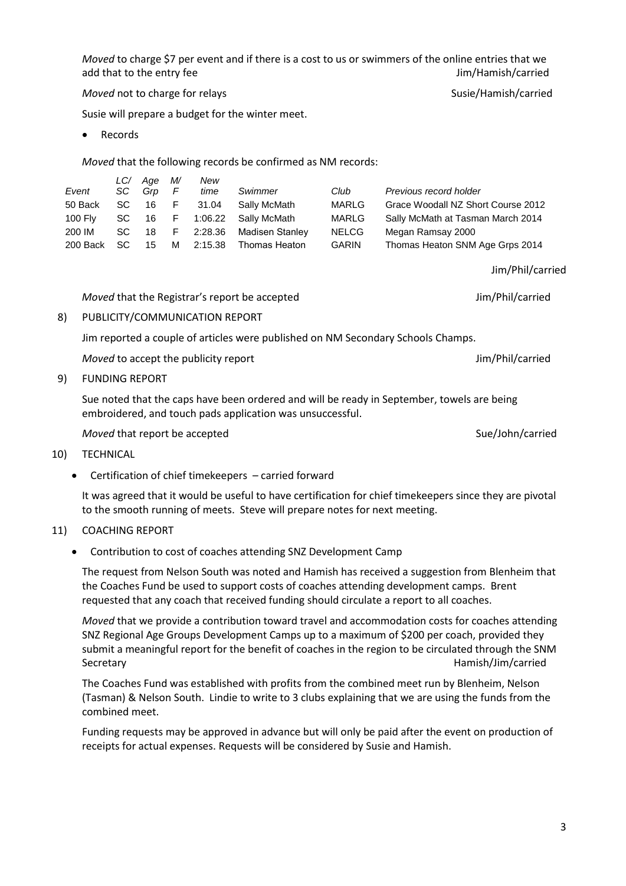*Moved* to charge \$7 per event and if there is a cost to us or swimmers of the online entries that we add that to the entry fee  $Jim/H$ amish/carried

*Moved* not to charge for relays Susie/Hamish/carried

Susie will prepare a budget for the winter meet.

• Records

*Moved* that the following records be confirmed as NM records:

|                | LC/  | Age | M/ | New     |                 |              |                                    |
|----------------|------|-----|----|---------|-----------------|--------------|------------------------------------|
| Event          | SC.  | Grp | F  | time    | Swimmer         | Club         | Previous record holder             |
| 50 Back        | SC . | 16  | F  | 31.04   | Sally McMath    | <b>MARLG</b> | Grace Woodall NZ Short Course 2012 |
| <b>100 Fly</b> | SC.  | 16  | F  | 1:06.22 | Sally McMath    | <b>MARLG</b> | Sally McMath at Tasman March 2014  |
| 200 IM         | SC.  | 18  | F. | 2:28.36 | Madisen Stanlev | <b>NELCG</b> | Megan Ramsay 2000                  |
| 200 Back       | SC.  | 15  | м  | 2:15.38 | Thomas Heaton   | <b>GARIN</b> | Thomas Heaton SNM Age Grps 2014    |

*Moved* that the Registrar's report be accepted **Jim/Phil/carried** Jim/Phil/carried

8) PUBLICITY/COMMUNICATION REPORT

Jim reported a couple of articles were published on NM Secondary Schools Champs.

*Moved* to accept the publicity report Jim/Phil/carried

9) FUNDING REPORT

Sue noted that the caps have been ordered and will be ready in September, towels are being embroidered, and touch pads application was unsuccessful.

*Moved* that report be accepted Suelous and Sue/John/carried

- 10) TECHNICAL
	- Certification of chief timekeepers carried forward

It was agreed that it would be useful to have certification for chief timekeepers since they are pivotal to the smooth running of meets. Steve will prepare notes for next meeting.

### 11) COACHING REPORT

### Contribution to cost of coaches attending SNZ Development Camp

The request from Nelson South was noted and Hamish has received a suggestion from Blenheim that the Coaches Fund be used to support costs of coaches attending development camps. Brent requested that any coach that received funding should circulate a report to all coaches.

*Moved* that we provide a contribution toward travel and accommodation costs for coaches attending SNZ Regional Age Groups Development Camps up to a maximum of \$200 per coach, provided they submit a meaningful report for the benefit of coaches in the region to be circulated through the SNM Secretary **Hamish/Jim/carried** 

The Coaches Fund was established with profits from the combined meet run by Blenheim, Nelson (Tasman) & Nelson South. Lindie to write to 3 clubs explaining that we are using the funds from the combined meet.

Funding requests may be approved in advance but will only be paid after the event on production of receipts for actual expenses. Requests will be considered by Susie and Hamish.

Jim/Phil/carried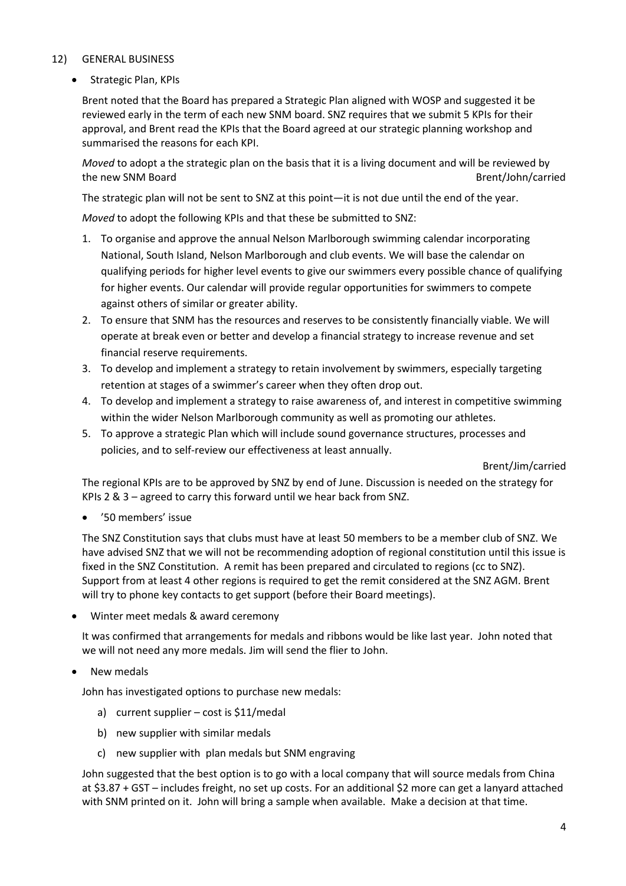### 12) GENERAL BUSINESS

• Strategic Plan, KPIs

Brent noted that the Board has prepared a Strategic Plan aligned with WOSP and suggested it be reviewed early in the term of each new SNM board. SNZ requires that we submit 5 KPIs for their approval, and Brent read the KPIs that the Board agreed at our strategic planning workshop and summarised the reasons for each KPI.

*Moved* to adopt a the strategic plan on the basis that it is a living document and will be reviewed by the new SNM Board **Brent/John/carried** Brent/John/carried

The strategic plan will not be sent to SNZ at this point—it is not due until the end of the year.

*Moved* to adopt the following KPIs and that these be submitted to SNZ:

- 1. To organise and approve the annual Nelson Marlborough swimming calendar incorporating National, South Island, Nelson Marlborough and club events. We will base the calendar on qualifying periods for higher level events to give our swimmers every possible chance of qualifying for higher events. Our calendar will provide regular opportunities for swimmers to compete against others of similar or greater ability.
- 2. To ensure that SNM has the resources and reserves to be consistently financially viable. We will operate at break even or better and develop a financial strategy to increase revenue and set financial reserve requirements.
- 3. To develop and implement a strategy to retain involvement by swimmers, especially targeting retention at stages of a swimmer's career when they often drop out.
- 4. To develop and implement a strategy to raise awareness of, and interest in competitive swimming within the wider Nelson Marlborough community as well as promoting our athletes.
- 5. To approve a strategic Plan which will include sound governance structures, processes and policies, and to self-review our effectiveness at least annually.

Brent/Jim/carried

The regional KPIs are to be approved by SNZ by end of June. Discussion is needed on the strategy for KPIs 2 & 3 – agreed to carry this forward until we hear back from SNZ.

'50 members' issue

The SNZ Constitution says that clubs must have at least 50 members to be a member club of SNZ. We have advised SNZ that we will not be recommending adoption of regional constitution until this issue is fixed in the SNZ Constitution. A remit has been prepared and circulated to regions (cc to SNZ). Support from at least 4 other regions is required to get the remit considered at the SNZ AGM. Brent will try to phone key contacts to get support (before their Board meetings).

Winter meet medals & award ceremony

It was confirmed that arrangements for medals and ribbons would be like last year. John noted that we will not need any more medals. Jim will send the flier to John.

New medals

John has investigated options to purchase new medals:

- a) current supplier cost is \$11/medal
- b) new supplier with similar medals
- c) new supplier with plan medals but SNM engraving

John suggested that the best option is to go with a local company that will source medals from China at \$3.87 + GST – includes freight, no set up costs. For an additional \$2 more can get a lanyard attached with SNM printed on it. John will bring a sample when available. Make a decision at that time.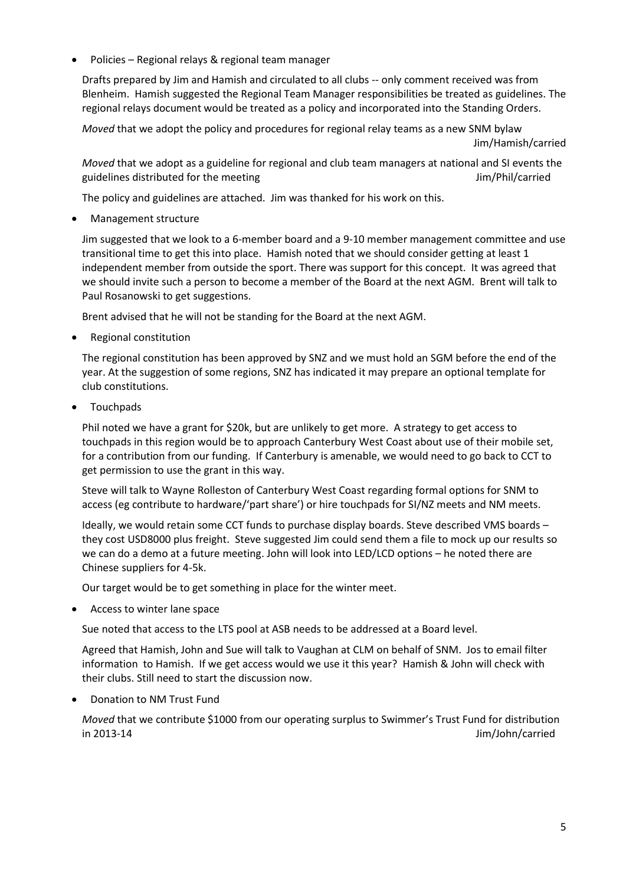Policies – Regional relays & regional team manager

Drafts prepared by Jim and Hamish and circulated to all clubs -- only comment received was from Blenheim. Hamish suggested the Regional Team Manager responsibilities be treated as guidelines. The regional relays document would be treated as a policy and incorporated into the Standing Orders.

*Moved* that we adopt the policy and procedures for regional relay teams as a new SNM bylaw Jim/Hamish/carried

*Moved* that we adopt as a guideline for regional and club team managers at national and SI events the guidelines distributed for the meeting Theorem Communication of the Muslim Annual Communication of the meeting

The policy and guidelines are attached. Jim was thanked for his work on this.

Management structure

Jim suggested that we look to a 6-member board and a 9-10 member management committee and use transitional time to get this into place. Hamish noted that we should consider getting at least 1 independent member from outside the sport. There was support for this concept. It was agreed that we should invite such a person to become a member of the Board at the next AGM. Brent will talk to Paul Rosanowski to get suggestions.

Brent advised that he will not be standing for the Board at the next AGM.

Regional constitution

The regional constitution has been approved by SNZ and we must hold an SGM before the end of the year. At the suggestion of some regions, SNZ has indicated it may prepare an optional template for club constitutions.

Touchpads

Phil noted we have a grant for \$20k, but are unlikely to get more. A strategy to get access to touchpads in this region would be to approach Canterbury West Coast about use of their mobile set, for a contribution from our funding. If Canterbury is amenable, we would need to go back to CCT to get permission to use the grant in this way.

Steve will talk to Wayne Rolleston of Canterbury West Coast regarding formal options for SNM to access (eg contribute to hardware/'part share') or hire touchpads for SI/NZ meets and NM meets.

Ideally, we would retain some CCT funds to purchase display boards. Steve described VMS boards – they cost USD8000 plus freight. Steve suggested Jim could send them a file to mock up our results so we can do a demo at a future meeting. John will look into LED/LCD options – he noted there are Chinese suppliers for 4-5k.

Our target would be to get something in place for the winter meet.

Access to winter lane space

Sue noted that access to the LTS pool at ASB needs to be addressed at a Board level.

Agreed that Hamish, John and Sue will talk to Vaughan at CLM on behalf of SNM. Jos to email filter information to Hamish. If we get access would we use it this year? Hamish & John will check with their clubs. Still need to start the discussion now.

Donation to NM Trust Fund

*Moved* that we contribute \$1000 from our operating surplus to Swimmer's Trust Fund for distribution in 2013-14 Jim/John/carried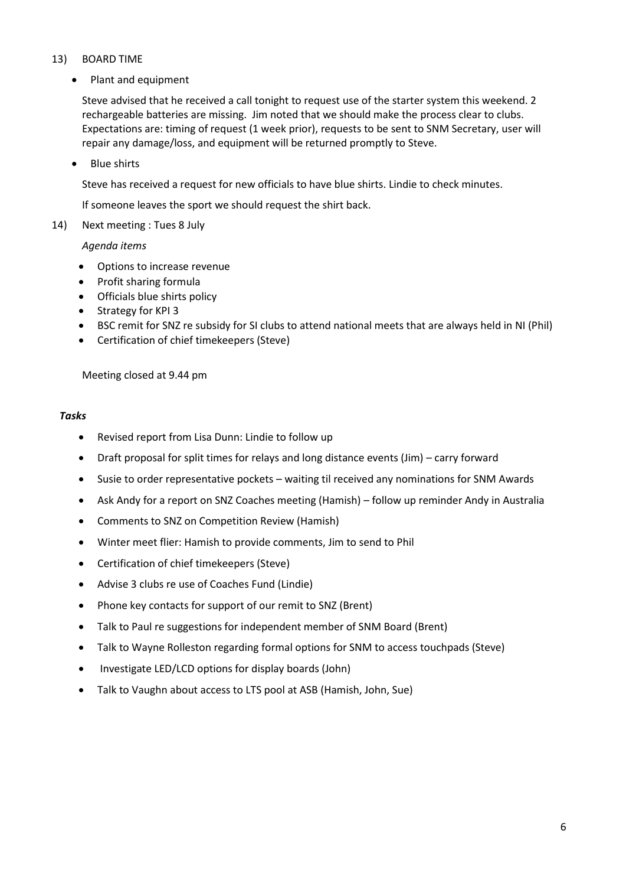### 13) BOARD TIME

• Plant and equipment

Steve advised that he received a call tonight to request use of the starter system this weekend. 2 rechargeable batteries are missing. Jim noted that we should make the process clear to clubs. Expectations are: timing of request (1 week prior), requests to be sent to SNM Secretary, user will repair any damage/loss, and equipment will be returned promptly to Steve.

• Blue shirts

Steve has received a request for new officials to have blue shirts. Lindie to check minutes.

If someone leaves the sport we should request the shirt back.

14) Next meeting : Tues 8 July

*Agenda items*

- Options to increase revenue
- Profit sharing formula
- Officials blue shirts policy
- Strategy for KPI 3
- BSC remit for SNZ re subsidy for SI clubs to attend national meets that are always held in NI (Phil)
- Certification of chief timekeepers (Steve)

Meeting closed at 9.44 pm

#### *Tasks*

- Revised report from Lisa Dunn: Lindie to follow up
- Draft proposal for split times for relays and long distance events (Jim) carry forward
- Susie to order representative pockets waiting til received any nominations for SNM Awards
- Ask Andy for a report on SNZ Coaches meeting (Hamish) follow up reminder Andy in Australia
- Comments to SNZ on Competition Review (Hamish)
- Winter meet flier: Hamish to provide comments, Jim to send to Phil
- Certification of chief timekeepers (Steve)
- Advise 3 clubs re use of Coaches Fund (Lindie)
- Phone key contacts for support of our remit to SNZ (Brent)
- Talk to Paul re suggestions for independent member of SNM Board (Brent)
- Talk to Wayne Rolleston regarding formal options for SNM to access touchpads (Steve)
- Investigate LED/LCD options for display boards (John)
- Talk to Vaughn about access to LTS pool at ASB (Hamish, John, Sue)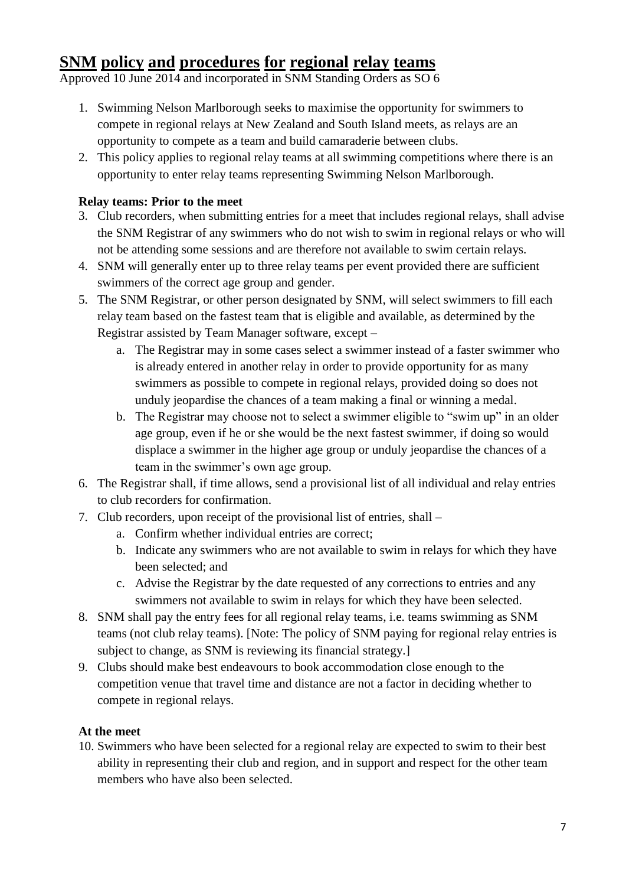# **SNM policy and procedures for regional relay teams**

Approved 10 June 2014 and incorporated in SNM Standing Orders as SO 6

- 1. Swimming Nelson Marlborough seeks to maximise the opportunity for swimmers to compete in regional relays at New Zealand and South Island meets, as relays are an opportunity to compete as a team and build camaraderie between clubs.
- 2. This policy applies to regional relay teams at all swimming competitions where there is an opportunity to enter relay teams representing Swimming Nelson Marlborough.

## **Relay teams: Prior to the meet**

- 3. Club recorders, when submitting entries for a meet that includes regional relays, shall advise the SNM Registrar of any swimmers who do not wish to swim in regional relays or who will not be attending some sessions and are therefore not available to swim certain relays.
- 4. SNM will generally enter up to three relay teams per event provided there are sufficient swimmers of the correct age group and gender.
- 5. The SNM Registrar, or other person designated by SNM, will select swimmers to fill each relay team based on the fastest team that is eligible and available, as determined by the Registrar assisted by Team Manager software, except –
	- a. The Registrar may in some cases select a swimmer instead of a faster swimmer who is already entered in another relay in order to provide opportunity for as many swimmers as possible to compete in regional relays, provided doing so does not unduly jeopardise the chances of a team making a final or winning a medal.
	- b. The Registrar may choose not to select a swimmer eligible to "swim up" in an older age group, even if he or she would be the next fastest swimmer, if doing so would displace a swimmer in the higher age group or unduly jeopardise the chances of a team in the swimmer's own age group.
- 6. The Registrar shall, if time allows, send a provisional list of all individual and relay entries to club recorders for confirmation.
- 7. Club recorders, upon receipt of the provisional list of entries, shall
	- a. Confirm whether individual entries are correct;
	- b. Indicate any swimmers who are not available to swim in relays for which they have been selected; and
	- c. Advise the Registrar by the date requested of any corrections to entries and any swimmers not available to swim in relays for which they have been selected.
- 8. SNM shall pay the entry fees for all regional relay teams, i.e. teams swimming as SNM teams (not club relay teams). [Note: The policy of SNM paying for regional relay entries is subject to change, as SNM is reviewing its financial strategy.]
- 9. Clubs should make best endeavours to book accommodation close enough to the competition venue that travel time and distance are not a factor in deciding whether to compete in regional relays.

### **At the meet**

10. Swimmers who have been selected for a regional relay are expected to swim to their best ability in representing their club and region, and in support and respect for the other team members who have also been selected.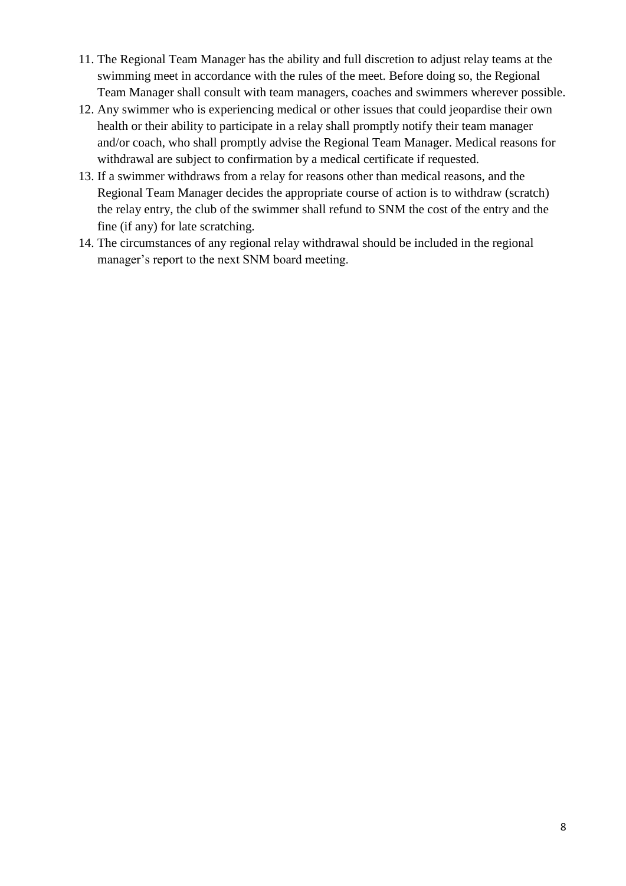- 11. The Regional Team Manager has the ability and full discretion to adjust relay teams at the swimming meet in accordance with the rules of the meet. Before doing so, the Regional Team Manager shall consult with team managers, coaches and swimmers wherever possible.
- 12. Any swimmer who is experiencing medical or other issues that could jeopardise their own health or their ability to participate in a relay shall promptly notify their team manager and/or coach, who shall promptly advise the Regional Team Manager. Medical reasons for withdrawal are subject to confirmation by a medical certificate if requested.
- 13. If a swimmer withdraws from a relay for reasons other than medical reasons, and the Regional Team Manager decides the appropriate course of action is to withdraw (scratch) the relay entry, the club of the swimmer shall refund to SNM the cost of the entry and the fine (if any) for late scratching.
- 14. The circumstances of any regional relay withdrawal should be included in the regional manager's report to the next SNM board meeting.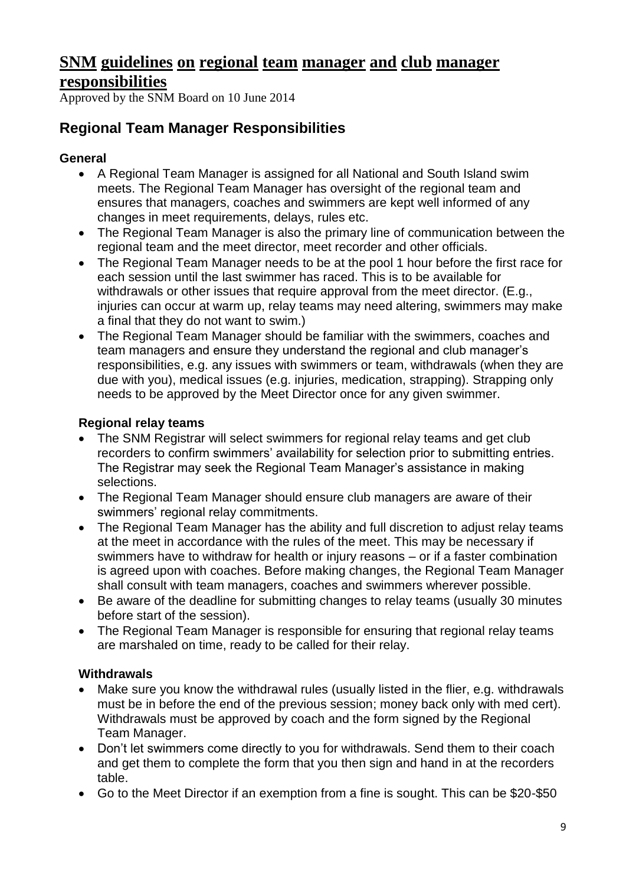# **SNM guidelines on regional team manager and club manager responsibilities**

Approved by the SNM Board on 10 June 2014

## **Regional Team Manager Responsibilities**

## **General**

- A Regional Team Manager is assigned for all National and South Island swim meets. The Regional Team Manager has oversight of the regional team and ensures that managers, coaches and swimmers are kept well informed of any changes in meet requirements, delays, rules etc.
- The Regional Team Manager is also the primary line of communication between the regional team and the meet director, meet recorder and other officials.
- The Regional Team Manager needs to be at the pool 1 hour before the first race for each session until the last swimmer has raced. This is to be available for withdrawals or other issues that require approval from the meet director. (E.g., injuries can occur at warm up, relay teams may need altering, swimmers may make a final that they do not want to swim.)
- The Regional Team Manager should be familiar with the swimmers, coaches and team managers and ensure they understand the regional and club manager's responsibilities, e.g. any issues with swimmers or team, withdrawals (when they are due with you), medical issues (e.g. injuries, medication, strapping). Strapping only needs to be approved by the Meet Director once for any given swimmer.

## **Regional relay teams**

- The SNM Registrar will select swimmers for regional relay teams and get club recorders to confirm swimmers' availability for selection prior to submitting entries. The Registrar may seek the Regional Team Manager's assistance in making selections.
- The Regional Team Manager should ensure club managers are aware of their swimmers' regional relay commitments.
- The Regional Team Manager has the ability and full discretion to adjust relay teams at the meet in accordance with the rules of the meet. This may be necessary if swimmers have to withdraw for health or injury reasons – or if a faster combination is agreed upon with coaches. Before making changes, the Regional Team Manager shall consult with team managers, coaches and swimmers wherever possible.
- Be aware of the deadline for submitting changes to relay teams (usually 30 minutes before start of the session).
- The Regional Team Manager is responsible for ensuring that regional relay teams are marshaled on time, ready to be called for their relay.

## **Withdrawals**

- Make sure you know the withdrawal rules (usually listed in the flier, e.g. withdrawals must be in before the end of the previous session; money back only with med cert). Withdrawals must be approved by coach and the form signed by the Regional Team Manager.
- Don't let swimmers come directly to you for withdrawals. Send them to their coach and get them to complete the form that you then sign and hand in at the recorders table.
- Go to the Meet Director if an exemption from a fine is sought. This can be \$20-\$50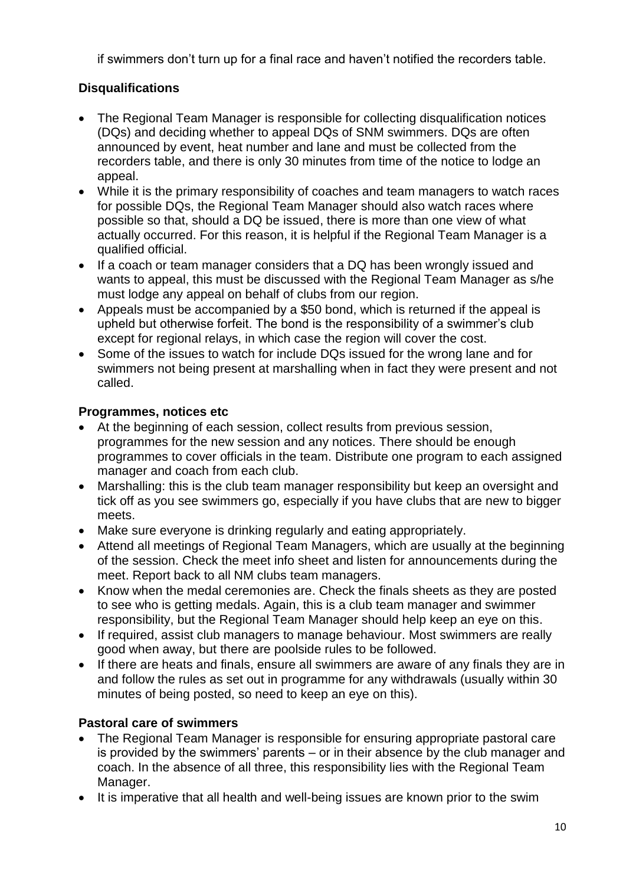if swimmers don't turn up for a final race and haven't notified the recorders table.

## **Disqualifications**

- The Regional Team Manager is responsible for collecting disqualification notices (DQs) and deciding whether to appeal DQs of SNM swimmers. DQs are often announced by event, heat number and lane and must be collected from the recorders table, and there is only 30 minutes from time of the notice to lodge an appeal.
- While it is the primary responsibility of coaches and team managers to watch races for possible DQs, the Regional Team Manager should also watch races where possible so that, should a DQ be issued, there is more than one view of what actually occurred. For this reason, it is helpful if the Regional Team Manager is a qualified official.
- If a coach or team manager considers that a DQ has been wrongly issued and wants to appeal, this must be discussed with the Regional Team Manager as s/he must lodge any appeal on behalf of clubs from our region.
- Appeals must be accompanied by a \$50 bond, which is returned if the appeal is upheld but otherwise forfeit. The bond is the responsibility of a swimmer's club except for regional relays, in which case the region will cover the cost.
- Some of the issues to watch for include DQs issued for the wrong lane and for swimmers not being present at marshalling when in fact they were present and not called.

## **Programmes, notices etc**

- At the beginning of each session, collect results from previous session, programmes for the new session and any notices. There should be enough programmes to cover officials in the team. Distribute one program to each assigned manager and coach from each club.
- Marshalling: this is the club team manager responsibility but keep an oversight and tick off as you see swimmers go, especially if you have clubs that are new to bigger meets.
- Make sure everyone is drinking regularly and eating appropriately.
- Attend all meetings of Regional Team Managers, which are usually at the beginning of the session. Check the meet info sheet and listen for announcements during the meet. Report back to all NM clubs team managers.
- Know when the medal ceremonies are. Check the finals sheets as they are posted to see who is getting medals. Again, this is a club team manager and swimmer responsibility, but the Regional Team Manager should help keep an eye on this.
- If required, assist club managers to manage behaviour. Most swimmers are really good when away, but there are poolside rules to be followed.
- If there are heats and finals, ensure all swimmers are aware of any finals they are in and follow the rules as set out in programme for any withdrawals (usually within 30 minutes of being posted, so need to keep an eye on this).

## **Pastoral care of swimmers**

- The Regional Team Manager is responsible for ensuring appropriate pastoral care is provided by the swimmers' parents – or in their absence by the club manager and coach. In the absence of all three, this responsibility lies with the Regional Team Manager.
- It is imperative that all health and well-being issues are known prior to the swim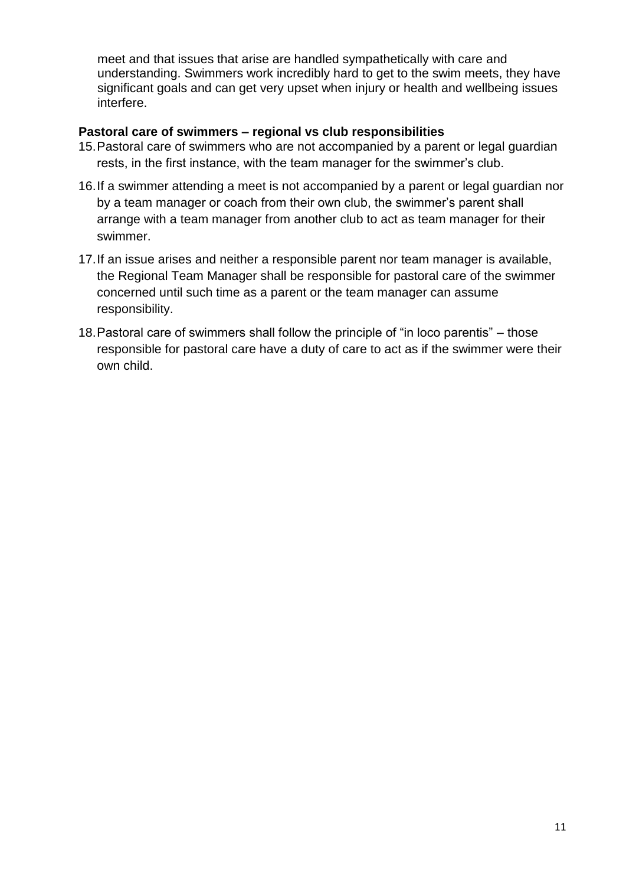meet and that issues that arise are handled sympathetically with care and understanding. Swimmers work incredibly hard to get to the swim meets, they have significant goals and can get very upset when injury or health and wellbeing issues interfere.

### **Pastoral care of swimmers – regional vs club responsibilities**

- 15.Pastoral care of swimmers who are not accompanied by a parent or legal guardian rests, in the first instance, with the team manager for the swimmer's club.
- 16.If a swimmer attending a meet is not accompanied by a parent or legal guardian nor by a team manager or coach from their own club, the swimmer's parent shall arrange with a team manager from another club to act as team manager for their swimmer.
- 17.If an issue arises and neither a responsible parent nor team manager is available, the Regional Team Manager shall be responsible for pastoral care of the swimmer concerned until such time as a parent or the team manager can assume responsibility.
- 18.Pastoral care of swimmers shall follow the principle of "in loco parentis" those responsible for pastoral care have a duty of care to act as if the swimmer were their own child.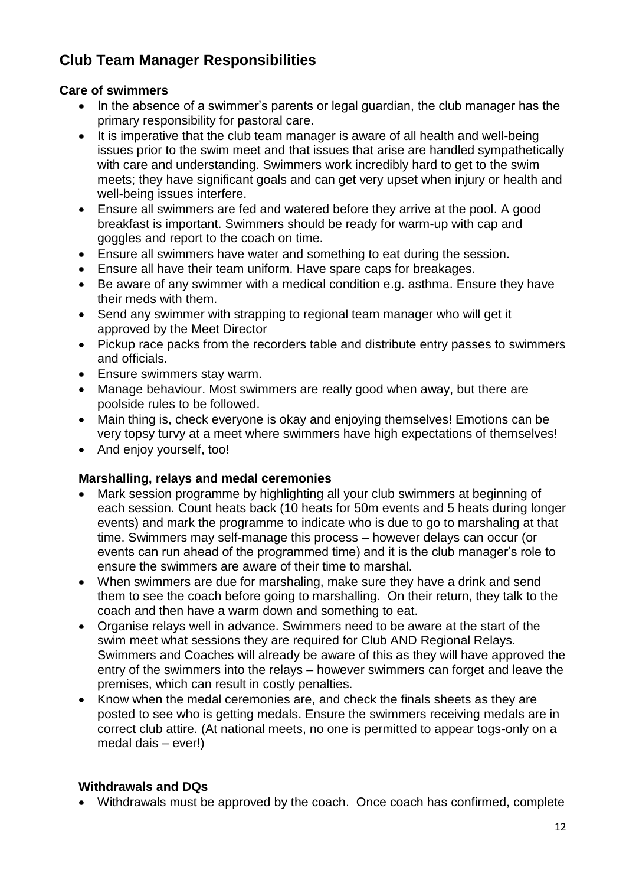# **Club Team Manager Responsibilities**

## **Care of swimmers**

- In the absence of a swimmer's parents or legal guardian, the club manager has the primary responsibility for pastoral care.
- It is imperative that the club team manager is aware of all health and well-being issues prior to the swim meet and that issues that arise are handled sympathetically with care and understanding. Swimmers work incredibly hard to get to the swim meets; they have significant goals and can get very upset when injury or health and well-being issues interfere.
- Ensure all swimmers are fed and watered before they arrive at the pool. A good breakfast is important. Swimmers should be ready for warm-up with cap and goggles and report to the coach on time.
- Ensure all swimmers have water and something to eat during the session.
- Ensure all have their team uniform. Have spare caps for breakages.
- Be aware of any swimmer with a medical condition e.g. asthma. Ensure they have their meds with them.
- Send any swimmer with strapping to regional team manager who will get it approved by the Meet Director
- Pickup race packs from the recorders table and distribute entry passes to swimmers and officials.
- Ensure swimmers stay warm.
- Manage behaviour. Most swimmers are really good when away, but there are poolside rules to be followed.
- Main thing is, check everyone is okay and enjoying themselves! Emotions can be very topsy turvy at a meet where swimmers have high expectations of themselves!
- And enjoy yourself, too!

## **Marshalling, relays and medal ceremonies**

- Mark session programme by highlighting all your club swimmers at beginning of each session. Count heats back (10 heats for 50m events and 5 heats during longer events) and mark the programme to indicate who is due to go to marshaling at that time. Swimmers may self-manage this process – however delays can occur (or events can run ahead of the programmed time) and it is the club manager's role to ensure the swimmers are aware of their time to marshal.
- When swimmers are due for marshaling, make sure they have a drink and send them to see the coach before going to marshalling. On their return, they talk to the coach and then have a warm down and something to eat.
- Organise relays well in advance. Swimmers need to be aware at the start of the swim meet what sessions they are required for Club AND Regional Relays. Swimmers and Coaches will already be aware of this as they will have approved the entry of the swimmers into the relays – however swimmers can forget and leave the premises, which can result in costly penalties.
- Know when the medal ceremonies are, and check the finals sheets as they are posted to see who is getting medals. Ensure the swimmers receiving medals are in correct club attire. (At national meets, no one is permitted to appear togs-only on a medal dais – ever!)

## **Withdrawals and DQs**

Withdrawals must be approved by the coach. Once coach has confirmed, complete